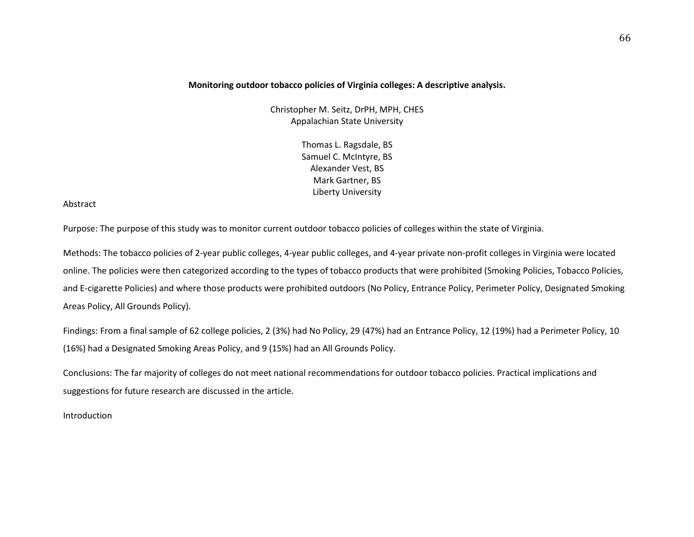# **Monitoring outdoor tobacco policies of Virginia colleges: A descriptive analysis.**

Christopher M. Seitz, DrPH, MPH, CHES Appalachian State University

> Thomas L. Ragsdale, BS Samuel C. McIntyre, BS Alexander Vest, BS Mark Gartner, BS Liberty University

# Abstract

Purpose: The purpose of this study was to monitor current outdoor tobacco policies of colleges within the state of Virginia.

Methods: The tobacco policies of 2-year public colleges, 4-year public colleges, and 4-year private non-profit colleges in Virginia were located online. The policies were then categorized according to the types of tobacco products that were prohibited (Smoking Policies, Tobacco Policies, and E-cigarette Policies) and where those products were prohibited outdoors (No Policy, Entrance Policy, Perimeter Policy, Designated Smoking Areas Policy, All Grounds Policy).

Findings: From a final sample of 62 college policies, 2 (3%) had No Policy, 29 (47%) had an Entrance Policy, 12 (19%) had a Perimeter Policy, 10 (16%) had a Designated Smoking Areas Policy, and 9 (15%) had an All Grounds Policy.

Conclusions: The far majority of colleges do not meet national recommendations for outdoor tobacco policies. Practical implications and suggestions for future research are discussed in the article.

Introduction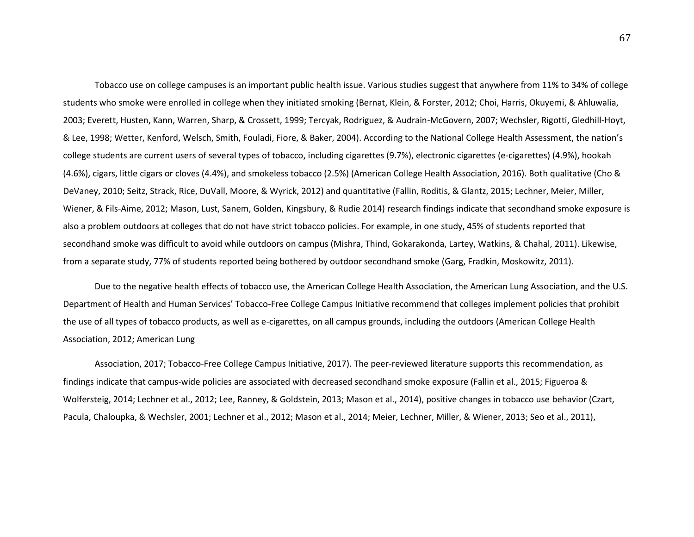Tobacco use on college campuses is an important public health issue. Various studies suggest that anywhere from 11% to 34% of college students who smoke were enrolled in college when they initiated smoking (Bernat, Klein, & Forster, 2012; Choi, Harris, Okuyemi, & Ahluwalia, 2003; Everett, Husten, Kann, Warren, Sharp, & Crossett, 1999; Tercyak, Rodriguez, & Audrain-McGovern, 2007; Wechsler, Rigotti, Gledhill-Hoyt, & Lee, 1998; Wetter, Kenford, Welsch, Smith, Fouladi, Fiore, & Baker, 2004). According to the National College Health Assessment, the nation's college students are current users of several types of tobacco, including cigarettes (9.7%), electronic cigarettes (e-cigarettes) (4.9%), hookah (4.6%), cigars, little cigars or cloves (4.4%), and smokeless tobacco (2.5%) (American College Health Association, 2016). Both qualitative (Cho & DeVaney, 2010; Seitz, Strack, Rice, DuVall, Moore, & Wyrick, 2012) and quantitative (Fallin, Roditis, & Glantz, 2015; Lechner, Meier, Miller, Wiener, & Fils-Aime, 2012; Mason, Lust, Sanem, Golden, Kingsbury, & Rudie 2014) research findings indicate that secondhand smoke exposure is also a problem outdoors at colleges that do not have strict tobacco policies. For example, in one study, 45% of students reported that secondhand smoke was difficult to avoid while outdoors on campus (Mishra, Thind, Gokarakonda, Lartey, Watkins, & Chahal, 2011). Likewise, from a separate study, 77% of students reported being bothered by outdoor secondhand smoke (Garg, Fradkin, Moskowitz, 2011).

Due to the negative health effects of tobacco use, the American College Health Association, the American Lung Association, and the U.S. Department of Health and Human Services' Tobacco-Free College Campus Initiative recommend that colleges implement policies that prohibit the use of all types of tobacco products, as well as e-cigarettes, on all campus grounds, including the outdoors (American College Health Association, 2012; American Lung

Association, 2017; Tobacco-Free College Campus Initiative, 2017). The peer-reviewed literature supports this recommendation, as findings indicate that campus-wide policies are associated with decreased secondhand smoke exposure (Fallin et al., 2015; Figueroa & Wolfersteig, 2014; Lechner et al., 2012; Lee, Ranney, & Goldstein, 2013; Mason et al., 2014), positive changes in tobacco use behavior (Czart, Pacula, Chaloupka, & Wechsler, 2001; Lechner et al., 2012; Mason et al., 2014; Meier, Lechner, Miller, & Wiener, 2013; Seo et al., 2011),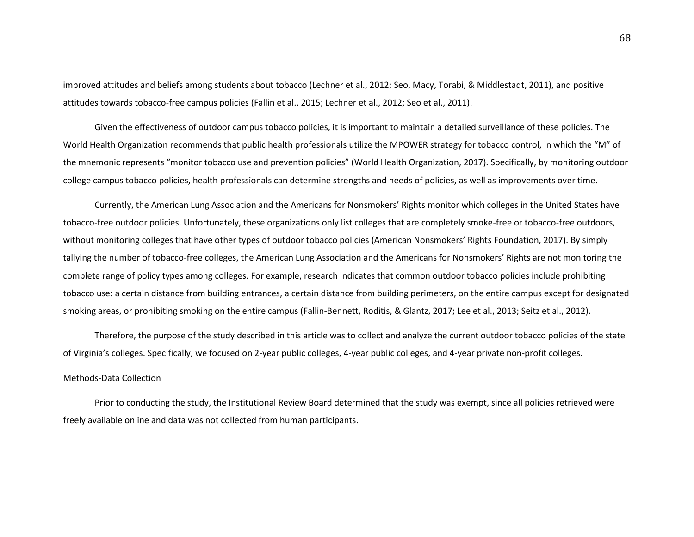improved attitudes and beliefs among students about tobacco (Lechner et al., 2012; Seo, Macy, Torabi, & Middlestadt, 2011), and positive attitudes towards tobacco-free campus policies (Fallin et al., 2015; Lechner et al., 2012; Seo et al., 2011).

Given the effectiveness of outdoor campus tobacco policies, it is important to maintain a detailed surveillance of these policies. The World Health Organization recommends that public health professionals utilize the MPOWER strategy for tobacco control, in which the "M" of the mnemonic represents "monitor tobacco use and prevention policies" (World Health Organization, 2017). Specifically, by monitoring outdoor college campus tobacco policies, health professionals can determine strengths and needs of policies, as well as improvements over time.

Currently, the American Lung Association and the Americans for Nonsmokers' Rights monitor which colleges in the United States have tobacco-free outdoor policies. Unfortunately, these organizations only list colleges that are completely smoke-free or tobacco-free outdoors, without monitoring colleges that have other types of outdoor tobacco policies (American Nonsmokers' Rights Foundation, 2017). By simply tallying the number of tobacco-free colleges, the American Lung Association and the Americans for Nonsmokers' Rights are not monitoring the complete range of policy types among colleges. For example, research indicates that common outdoor tobacco policies include prohibiting tobacco use: a certain distance from building entrances, a certain distance from building perimeters, on the entire campus except for designated smoking areas, or prohibiting smoking on the entire campus (Fallin-Bennett, Roditis, & Glantz, 2017; Lee et al., 2013; Seitz et al., 2012).

Therefore, the purpose of the study described in this article was to collect and analyze the current outdoor tobacco policies of the state of Virginia's colleges. Specifically, we focused on 2-year public colleges, 4-year public colleges, and 4-year private non-profit colleges.

## Methods-Data Collection

Prior to conducting the study, the Institutional Review Board determined that the study was exempt, since all policies retrieved were freely available online and data was not collected from human participants.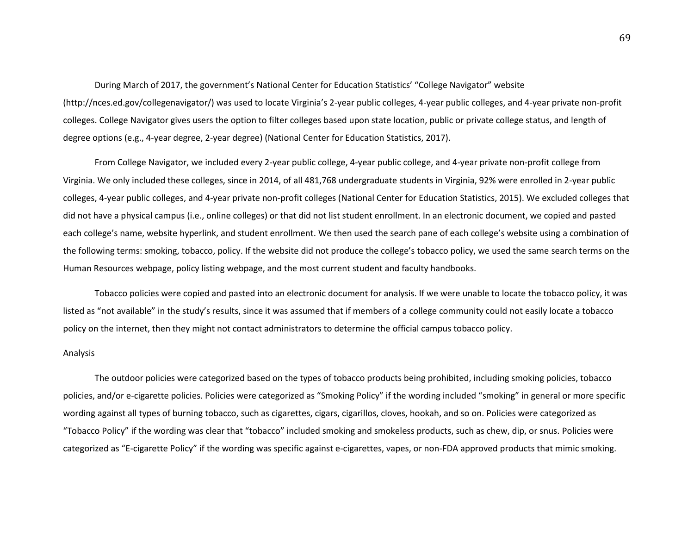During March of 2017, the government's National Center for Education Statistics' "College Navigator" website (http://nces.ed.gov/collegenavigator/) was used to locate Virginia's 2-year public colleges, 4-year public colleges, and 4-year private non-profit colleges. College Navigator gives users the option to filter colleges based upon state location, public or private college status, and length of degree options (e.g., 4-year degree, 2-year degree) (National Center for Education Statistics, 2017).

From College Navigator, we included every 2-year public college, 4-year public college, and 4-year private non-profit college from Virginia. We only included these colleges, since in 2014, of all 481,768 undergraduate students in Virginia, 92% were enrolled in 2-year public colleges, 4-year public colleges, and 4-year private non-profit colleges (National Center for Education Statistics, 2015). We excluded colleges that did not have a physical campus (i.e., online colleges) or that did not list student enrollment. In an electronic document, we copied and pasted each college's name, website hyperlink, and student enrollment. We then used the search pane of each college's website using a combination of the following terms: smoking, tobacco, policy. If the website did not produce the college's tobacco policy, we used the same search terms on the Human Resources webpage, policy listing webpage, and the most current student and faculty handbooks.

Tobacco policies were copied and pasted into an electronic document for analysis. If we were unable to locate the tobacco policy, it was listed as "not available" in the study's results, since it was assumed that if members of a college community could not easily locate a tobacco policy on the internet, then they might not contact administrators to determine the official campus tobacco policy.

## Analysis

The outdoor policies were categorized based on the types of tobacco products being prohibited, including smoking policies, tobacco policies, and/or e-cigarette policies. Policies were categorized as "Smoking Policy" if the wording included "smoking" in general or more specific wording against all types of burning tobacco, such as cigarettes, cigars, cigarillos, cloves, hookah, and so on. Policies were categorized as "Tobacco Policy" if the wording was clear that "tobacco" included smoking and smokeless products, such as chew, dip, or snus. Policies were categorized as "E-cigarette Policy" if the wording was specific against e-cigarettes, vapes, or non-FDA approved products that mimic smoking.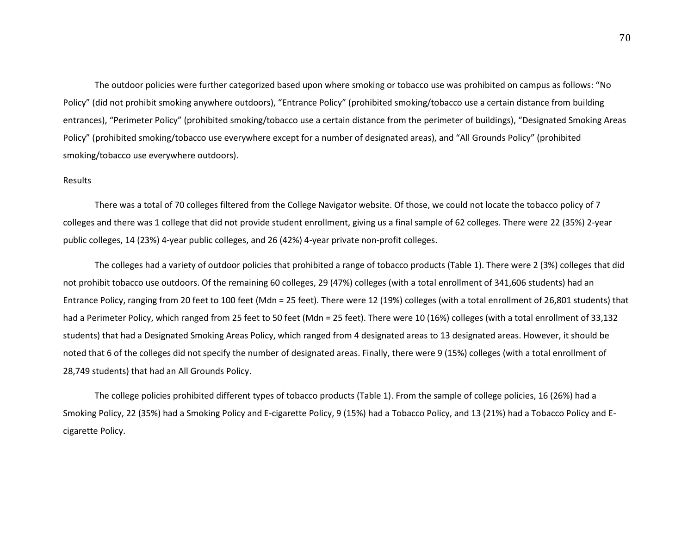The outdoor policies were further categorized based upon where smoking or tobacco use was prohibited on campus as follows: "No Policy" (did not prohibit smoking anywhere outdoors), "Entrance Policy" (prohibited smoking/tobacco use a certain distance from building entrances), "Perimeter Policy" (prohibited smoking/tobacco use a certain distance from the perimeter of buildings), "Designated Smoking Areas Policy" (prohibited smoking/tobacco use everywhere except for a number of designated areas), and "All Grounds Policy" (prohibited smoking/tobacco use everywhere outdoors).

# Results

There was a total of 70 colleges filtered from the College Navigator website. Of those, we could not locate the tobacco policy of 7 colleges and there was 1 college that did not provide student enrollment, giving us a final sample of 62 colleges. There were 22 (35%) 2-year public colleges, 14 (23%) 4-year public colleges, and 26 (42%) 4-year private non-profit colleges.

The colleges had a variety of outdoor policies that prohibited a range of tobacco products (Table 1). There were 2 (3%) colleges that did not prohibit tobacco use outdoors. Of the remaining 60 colleges, 29 (47%) colleges (with a total enrollment of 341,606 students) had an Entrance Policy, ranging from 20 feet to 100 feet (Mdn = 25 feet). There were 12 (19%) colleges (with a total enrollment of 26,801 students) that had a Perimeter Policy, which ranged from 25 feet to 50 feet (Mdn = 25 feet). There were 10 (16%) colleges (with a total enrollment of 33,132 students) that had a Designated Smoking Areas Policy, which ranged from 4 designated areas to 13 designated areas. However, it should be noted that 6 of the colleges did not specify the number of designated areas. Finally, there were 9 (15%) colleges (with a total enrollment of 28,749 students) that had an All Grounds Policy.

The college policies prohibited different types of tobacco products (Table 1). From the sample of college policies, 16 (26%) had a Smoking Policy, 22 (35%) had a Smoking Policy and E-cigarette Policy, 9 (15%) had a Tobacco Policy, and 13 (21%) had a Tobacco Policy and Ecigarette Policy.

70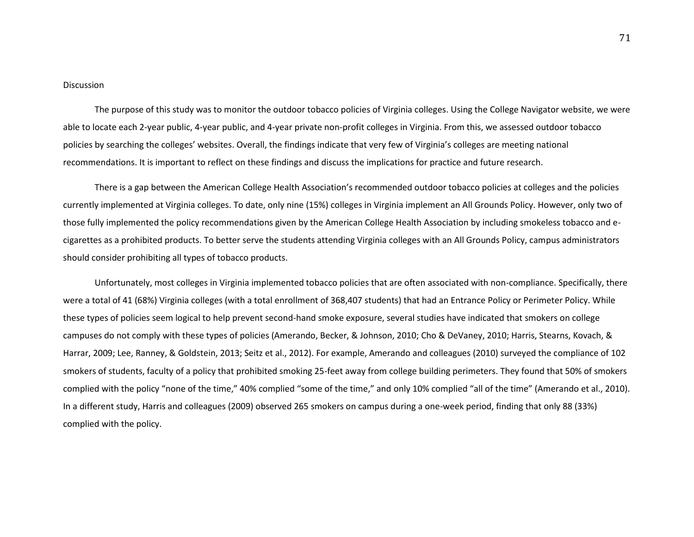# **Discussion**

The purpose of this study was to monitor the outdoor tobacco policies of Virginia colleges. Using the College Navigator website, we were able to locate each 2-year public, 4-year public, and 4-year private non-profit colleges in Virginia. From this, we assessed outdoor tobacco policies by searching the colleges' websites. Overall, the findings indicate that very few of Virginia's colleges are meeting national recommendations. It is important to reflect on these findings and discuss the implications for practice and future research.

There is a gap between the American College Health Association's recommended outdoor tobacco policies at colleges and the policies currently implemented at Virginia colleges. To date, only nine (15%) colleges in Virginia implement an All Grounds Policy. However, only two of those fully implemented the policy recommendations given by the American College Health Association by including smokeless tobacco and ecigarettes as a prohibited products. To better serve the students attending Virginia colleges with an All Grounds Policy, campus administrators should consider prohibiting all types of tobacco products.

Unfortunately, most colleges in Virginia implemented tobacco policies that are often associated with non-compliance. Specifically, there were a total of 41 (68%) Virginia colleges (with a total enrollment of 368,407 students) that had an Entrance Policy or Perimeter Policy. While these types of policies seem logical to help prevent second-hand smoke exposure, several studies have indicated that smokers on college campuses do not comply with these types of policies (Amerando, Becker, & Johnson, 2010; Cho & DeVaney, 2010; Harris, Stearns, Kovach, & Harrar, 2009; Lee, Ranney, & Goldstein, 2013; Seitz et al., 2012). For example, Amerando and colleagues (2010) surveyed the compliance of 102 smokers of students, faculty of a policy that prohibited smoking 25-feet away from college building perimeters. They found that 50% of smokers complied with the policy "none of the time," 40% complied "some of the time," and only 10% complied "all of the time" (Amerando et al., 2010). In a different study, Harris and colleagues (2009) observed 265 smokers on campus during a one-week period, finding that only 88 (33%) complied with the policy.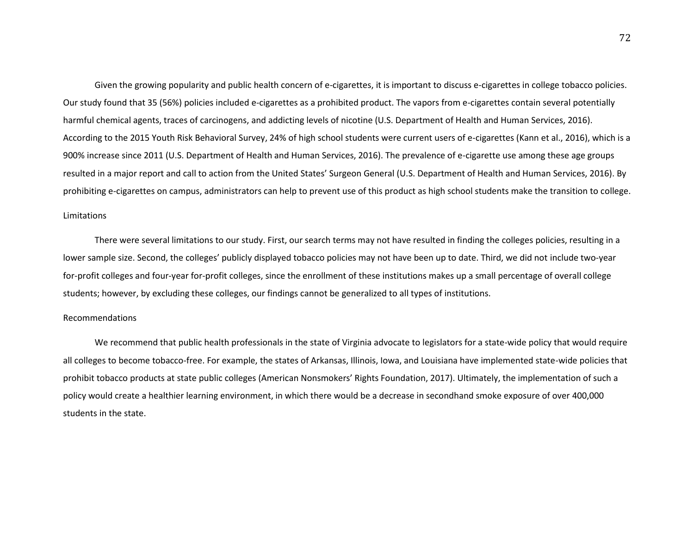Given the growing popularity and public health concern of e-cigarettes, it is important to discuss e-cigarettes in college tobacco policies. Our study found that 35 (56%) policies included e-cigarettes as a prohibited product. The vapors from e-cigarettes contain several potentially harmful chemical agents, traces of carcinogens, and addicting levels of nicotine (U.S. Department of Health and Human Services, 2016). According to the 2015 Youth Risk Behavioral Survey, 24% of high school students were current users of e-cigarettes (Kann et al., 2016), which is a 900% increase since 2011 (U.S. Department of Health and Human Services, 2016). The prevalence of e-cigarette use among these age groups resulted in a major report and call to action from the United States' Surgeon General (U.S. Department of Health and Human Services, 2016). By prohibiting e-cigarettes on campus, administrators can help to prevent use of this product as high school students make the transition to college.

#### Limitations

There were several limitations to our study. First, our search terms may not have resulted in finding the colleges policies, resulting in a lower sample size. Second, the colleges' publicly displayed tobacco policies may not have been up to date. Third, we did not include two-year for-profit colleges and four-year for-profit colleges, since the enrollment of these institutions makes up a small percentage of overall college students; however, by excluding these colleges, our findings cannot be generalized to all types of institutions.

#### Recommendations

We recommend that public health professionals in the state of Virginia advocate to legislators for a state-wide policy that would require all colleges to become tobacco-free. For example, the states of Arkansas, Illinois, Iowa, and Louisiana have implemented state-wide policies that prohibit tobacco products at state public colleges (American Nonsmokers' Rights Foundation, 2017). Ultimately, the implementation of such a policy would create a healthier learning environment, in which there would be a decrease in secondhand smoke exposure of over 400,000 students in the state.

72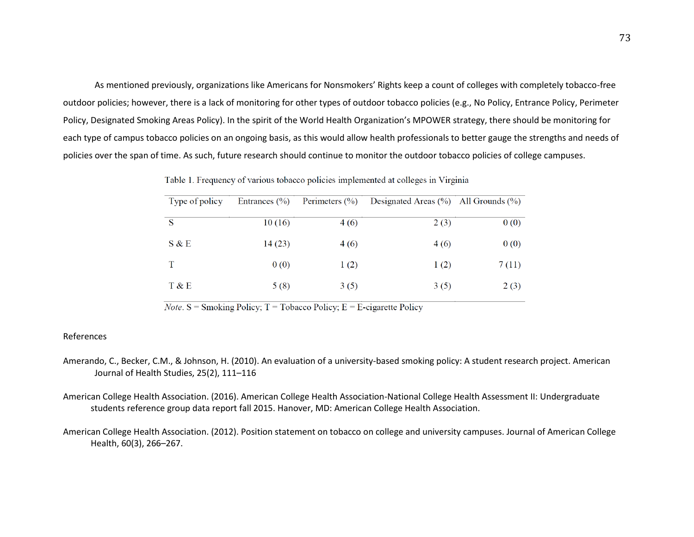As mentioned previously, organizations like Americans for Nonsmokers' Rights keep a count of colleges with completely tobacco-free outdoor policies; however, there is a lack of monitoring for other types of outdoor tobacco policies (e.g., No Policy, Entrance Policy, Perimeter Policy, Designated Smoking Areas Policy). In the spirit of the World Health Organization's MPOWER strategy, there should be monitoring for each type of campus tobacco policies on an ongoing basis, as this would allow health professionals to better gauge the strengths and needs of policies over the span of time. As such, future research should continue to monitor the outdoor tobacco policies of college campuses.

Table 1. Frequency of various tobacco policies implemented at colleges in Virginia

| Type of policy | Entrances $(\% )$ | Perimeters $(\% )$ | Designated Areas $(\% )$ All Grounds $(\% )$ |       |
|----------------|-------------------|--------------------|----------------------------------------------|-------|
| S              | 10(16)            | 4 (6)              | 2(3)                                         | 0(0)  |
| S & E          | 14(23)            | 4(6)               | 4(6)                                         | 0(0)  |
|                | 0(0)              | 1(2)               | 1(2)                                         | 7(11) |
| T & E          | 5(8)              | 3(5)               | 3(5)                                         | 2(3)  |

*Note*. S = Smoking Policy; T = Tobacco Policy; E = E-cigarette Policy

### References

- Amerando, C., Becker, C.M., & Johnson, H. (2010). An evaluation of a university-based smoking policy: A student research project. American Journal of Health Studies, 25(2), 111–116
- American College Health Association. (2016). American College Health Association-National College Health Assessment II: Undergraduate students reference group data report fall 2015. Hanover, MD: American College Health Association.
- American College Health Association. (2012). Position statement on tobacco on college and university campuses. Journal of American College Health, 60(3), 266–267.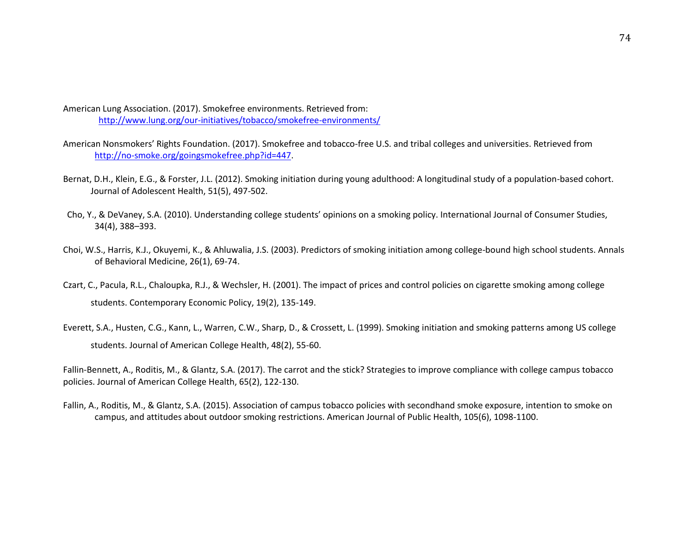American Lung Association. (2017). Smokefree environments. Retrieved from: <http://www.lung.org/our-initiatives/tobacco/smokefree-environments/>

- American Nonsmokers' Rights Foundation. (2017). Smokefree and tobacco-free U.S. and tribal colleges and universities. Retrieved from [http://no-smoke.org/goingsmokefree.php?id=447.](http://no-smoke.org/goingsmokefree.php?id=447)
- Bernat, D.H., Klein, E.G., & Forster, J.L. (2012). Smoking initiation during young adulthood: A longitudinal study of a population-based cohort. Journal of Adolescent Health, 51(5), 497-502.
- Cho, Y., & DeVaney, S.A. (2010). Understanding college students' opinions on a smoking policy. International Journal of Consumer Studies, 34(4), 388–393.
- Choi, W.S., Harris, K.J., Okuyemi, K., & Ahluwalia, J.S. (2003). Predictors of smoking initiation among college-bound high school students. Annals of Behavioral Medicine, 26(1), 69-74.
- Czart, C., Pacula, R.L., Chaloupka, R.J., & Wechsler, H. (2001). The impact of prices and control policies on cigarette smoking among college students. Contemporary Economic Policy, 19(2), 135-149.
- Everett, S.A., Husten, C.G., Kann, L., Warren, C.W., Sharp, D., & Crossett, L. (1999). Smoking initiation and smoking patterns among US college students. Journal of American College Health, 48(2), 55-60.

Fallin-Bennett, A., Roditis, M., & Glantz, S.A. (2017). The carrot and the stick? Strategies to improve compliance with college campus tobacco policies. Journal of American College Health, 65(2), 122-130.

Fallin, A., Roditis, M., & Glantz, S.A. (2015). Association of campus tobacco policies with secondhand smoke exposure, intention to smoke on campus, and attitudes about outdoor smoking restrictions. American Journal of Public Health, 105(6), 1098-1100.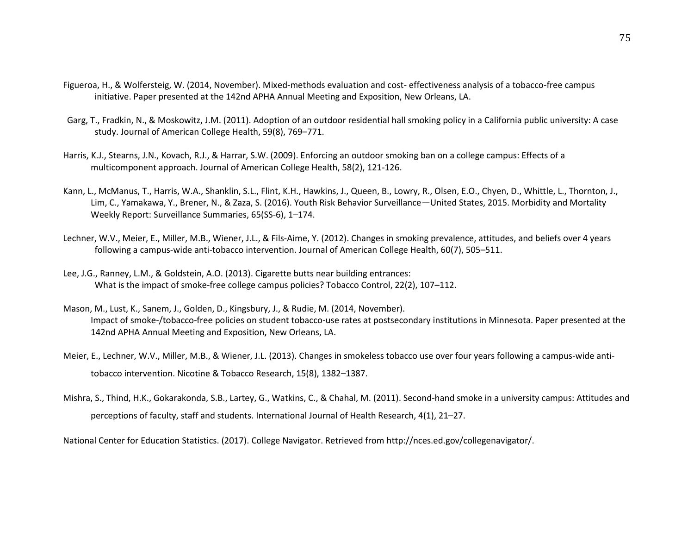- Figueroa, H., & Wolfersteig, W. (2014, November). Mixed-methods evaluation and cost- effectiveness analysis of a tobacco-free campus initiative. Paper presented at the 142nd APHA Annual Meeting and Exposition, New Orleans, LA.
- Garg, T., Fradkin, N., & Moskowitz, J.M. (2011). Adoption of an outdoor residential hall smoking policy in a California public university: A case study. Journal of American College Health, 59(8), 769–771.
- Harris, K.J., Stearns, J.N., Kovach, R.J., & Harrar, S.W. (2009). Enforcing an outdoor smoking ban on a college campus: Effects of a multicomponent approach. Journal of American College Health, 58(2), 121-126.
- Kann, L., McManus, T., Harris, W.A., Shanklin, S.L., Flint, K.H., Hawkins, J., Queen, B., Lowry, R., Olsen, E.O., Chyen, D., Whittle, L., Thornton, J., Lim, C., Yamakawa, Y., Brener, N., & Zaza, S. (2016). Youth Risk Behavior Surveillance—United States, 2015. Morbidity and Mortality Weekly Report: Surveillance Summaries, 65(SS-6), 1–174.
- Lechner, W.V., Meier, E., Miller, M.B., Wiener, J.L., & Fils-Aime, Y. (2012). Changes in smoking prevalence, attitudes, and beliefs over 4 years following a campus-wide anti-tobacco intervention. Journal of American College Health, 60(7), 505–511.
- Lee, J.G., Ranney, L.M., & Goldstein, A.O. (2013). Cigarette butts near building entrances: What is the impact of smoke-free college campus policies? Tobacco Control, 22(2), 107–112.
- Mason, M., Lust, K., Sanem, J., Golden, D., Kingsbury, J., & Rudie, M. (2014, November). Impact of smoke-/tobacco-free policies on student tobacco-use rates at postsecondary institutions in Minnesota. Paper presented at the 142nd APHA Annual Meeting and Exposition, New Orleans, LA.
- Meier, E., Lechner, W.V., Miller, M.B., & Wiener, J.L. (2013). Changes in smokeless tobacco use over four years following a campus-wide antitobacco intervention. Nicotine & Tobacco Research, 15(8), 1382–1387.
- Mishra, S., Thind, H.K., Gokarakonda, S.B., Lartey, G., Watkins, C., & Chahal, M. (2011). Second-hand smoke in a university campus: Attitudes and perceptions of faculty, staff and students. International Journal of Health Research, 4(1), 21–27.

National Center for Education Statistics. (2017). College Navigator. Retrieved from http://nces.ed.gov/collegenavigator/.